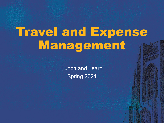# Travel and Expense Management

Lunch and Learn Spring 2021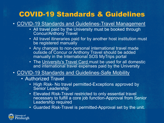### COVID-19 Standards & Guidelines

#### • [COVID-19 Standards and Guidelines-Travel Management](https://www.policy.pitt.edu/sites/default/files/covid/SG%20Travel%20Management_FINAL.pdf)

- All travel paid by the University must be booked through Concur/Anthony Travel
- All travel itineraries paid for by another host institution must be registered manually
- Any changes to non-personal international travel made outside of Concur or Anthony Travel should be added manually in the International SOS MyTrips portal
- The [University's Travel Card m](https://www.ppt.pitt.edu/payments-taxes/payment-methods/university-travel-card)ust be used for all domestic and international travel expenses paid by the University

#### • [COVID-19 Standards and Guidelines-Safe Mobility](https://www.policy.pitt.edu/sites/default/files/covid/Safe_Mobility_Final.pdf)

- Authorized Travel
	- High Risk- No travel permitted-Exceptions approved by Senior Leadership
	- Elevated Risk-Travel restricted to only essential travel necessary to fulfill a core job function-Approval from Senior Leadership required

• Guarded Risk-Travel is permitted-Approval set by the unit.

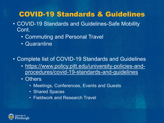### COVID-19 Standards & Guidelines

- COVID-19 Standards and Guidelines-Safe Mobility Cont.
	- Commuting and Personal Travel
	- Quarantine
- Complete list of COVID-19 Standards and Guidelines
	- [https://www.policy.pitt.edu/university-policies-and](https://www.policy.pitt.edu/university-policies-and-procedures/covid-19-standards-and-guidelines)procedures/covid-19-standards-and-guidelines
	- Others
		- Meetings, Conferences, Events and Guests
		- Shared Spaces
		- Fieldwork and Research Travel

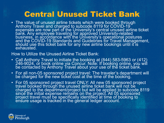# Central Unused Ticket Bank

• The value of unused airline tickets which were booked through Anthony Travel and charged to subcode 8119 for COVID-19 expenses are now part of the University's central unused airline ticket bank. Any employee traveling for approved University-related business, in accordance with the University's operational postures and the COVID-19 Standards and Guidelińes for Travel Management,<br>should use this ticket bank for any new airline bookings until it is exhausted.

#### How to Utilize the Unused Airline Ticket Bank:

- Call Anthony Travel to initiate the booking at (844) 583-5963 or (412) 246-9024, or book online via Concur. Note: If booking online, you will be contacted by Anthony Travel about your use of the ticket bank.
- For all non-05 sponsored project travel: The traveler's department will be charged for the new ticket cost at the time of the booking.
- For 05 sponsored project travel ONLY: All new 05 sponsored project travel booked through the unused airline ticket bank will not be charged to the department/project but will be applied to subcode 8119 since the initial expense remains on the project. All 05 sponsored project travel must be specifically identified at time of booking to ensure usage is tracked in the general ledger account.

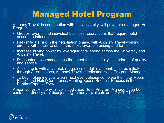# Managed Hotel Program

Anthony Travel, in coordination with the University, will provide a managed Hotel Program

- Groups, events and individual business reservations that require hotel accommodations.
- Help mitigate risk in the negotiation phase, with Anthony Travel working directly with hotels to obtaiñ the most favorable pricing and terms.
- Increase buying power by leveraging total spend across the University and Anthony Travel.
- Discounted accommodations that meet the University's standards of quality and service.
- All contracts with any hotel, regardless of dollar amount, must be initiated through Allison Jones, Anthony̆ Travel's dedicated Hoteĺ Program Manager.
- To begin planning your area's next event please complete the Hotel Room Blocks and Hotel Conference/Meeting Space Request Process in the PantherExpress System.

Allison Jones, Anthony Travel's dedicated Hotel Program Manager, can be contacted directly at: állisonjones@anthonytravel.com or 412-267-7151. $\,$ 

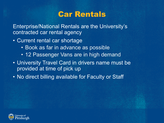### Car Rentals

Enterprise/National Rentals are the University's contracted car rental agency

- Current rental car shortage
	- Book as far in advance as possible
	- 12 Passenger Vans are in high demand
- University Travel Card in drivers name must be provided at time of pick up
- No direct billing available for Faculty or Staff

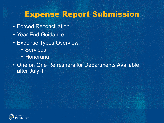### Expense Report Submission

- Forced Reconciliation
- Year End Guidance
- Expense Types Overview
	- Services
	- Honoraria
- One on One Refreshers for Departments Available after July 1st

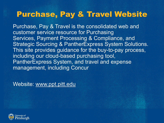## Purchase, Pay & Travel Website

Purchase, Pay & Travel is the consolidated web and customer service resource for Purchasing Services, Payment Processing & Compliance, and Strategic Sourcing & PantherExpress System Solutions. This site provides guidance for the buy-to-pay process, including our cloud-based purchasing tool, PantherExpress System, and travel and expense management, including Concur

Website: [www.ppt.pitt.edu](http://www.ppt.pitt.edu/)